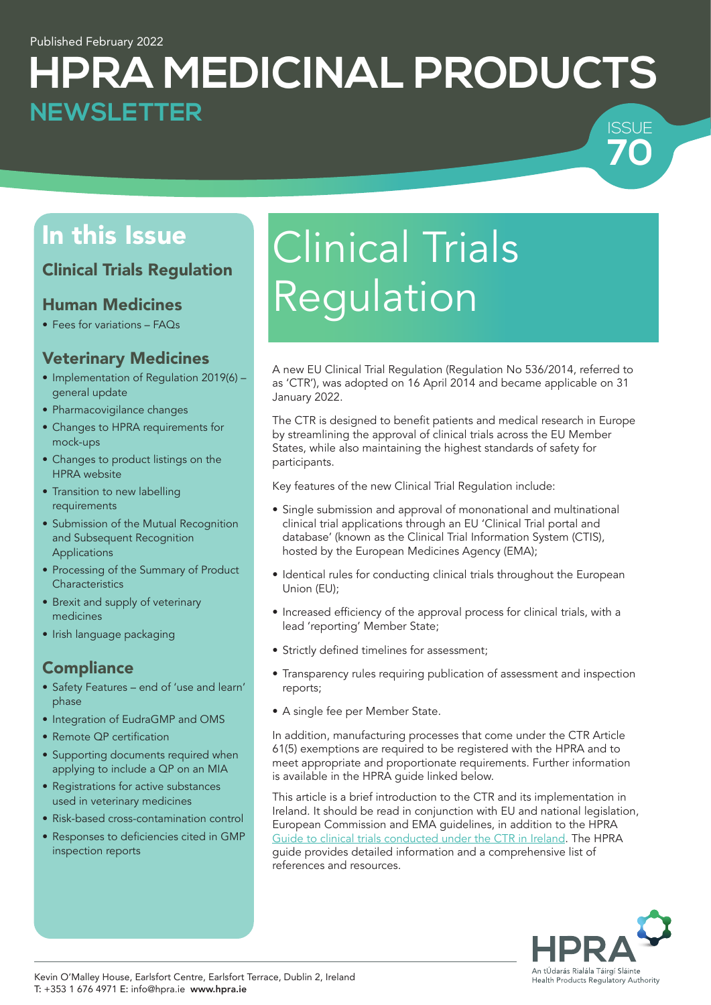## **HPRA MEDICINAL PRODUCTS** ISSUE **NEWSLETTER**

## Clinical Trials Regulation

## Human Medicines

• Fees for variations – FAQs

## Veterinary Medicines

- Implementation of Regulation 2019(6) general update
- Pharmacovigilance changes
- Changes to HPRA requirements for mock-ups
- Changes to product listings on the HPRA website
- Transition to new labelling requirements
- Submission of the Mutual Recognition and Subsequent Recognition Applications
- Processing of the Summary of Product **Characteristics**
- Brexit and supply of veterinary medicines
- Irish language packaging

## **Compliance**

- Safety Features end of 'use and learn' phase
- Integration of EudraGMP and OMS
- Remote QP certification
- Supporting documents required when applying to include a QP on an MIA
- Registrations for active substances used in veterinary medicines
- Risk-based cross-contamination control
- Responses to deficiencies cited in GMP inspection reports

# In this Issue **Clinical Trials** Regulation

A new EU Clinical Trial Regulation (Regulation No 536/2014, referred to as 'CTR'), was adopted on 16 April 2014 and became applicable on 31 January 2022.

The CTR is designed to benefit patients and medical research in Europe by streamlining the approval of clinical trials across the EU Member States, while also maintaining the highest standards of safety for participants.

Key features of the new Clinical Trial Regulation include:

- Single submission and approval of mononational and multinational clinical trial applications through an EU 'Clinical Trial portal and database' (known as the Clinical Trial Information System (CTIS), hosted by the European Medicines Agency (EMA);
- Identical rules for conducting clinical trials throughout the European Union (EU);
- • Increased efficiency of the approval process for clinical trials, with a lead 'reporting' Member State;
- Strictly defined timelines for assessment;
- Transparency rules requiring publication of assessment and inspection reports;
- A single fee per Member State.

In addition, manufacturing processes that come under the CTR Article 61(5) exemptions are required to be registered with the HPRA and to meet appropriate and proportionate requirements. Further information is available in the HPRA guide linked below.

This article is a brief introduction to the CTR and its implementation in Ireland. It should be read in conjunction with EU and national legislation, European Commission and EMA guidelines, in addition to the HPRA [Guide to clinical trials conducted under the CTR in Ireland](https://www.hpra.ie/docs/default-source/publications-forms/guidance-documents/guide-to-clinical-trials-conducted-under-the-ctr-in-ireland.pdf?sfvrsn=19). The HPRA guide provides detailed information and a comprehensive list of references and resources.



**70**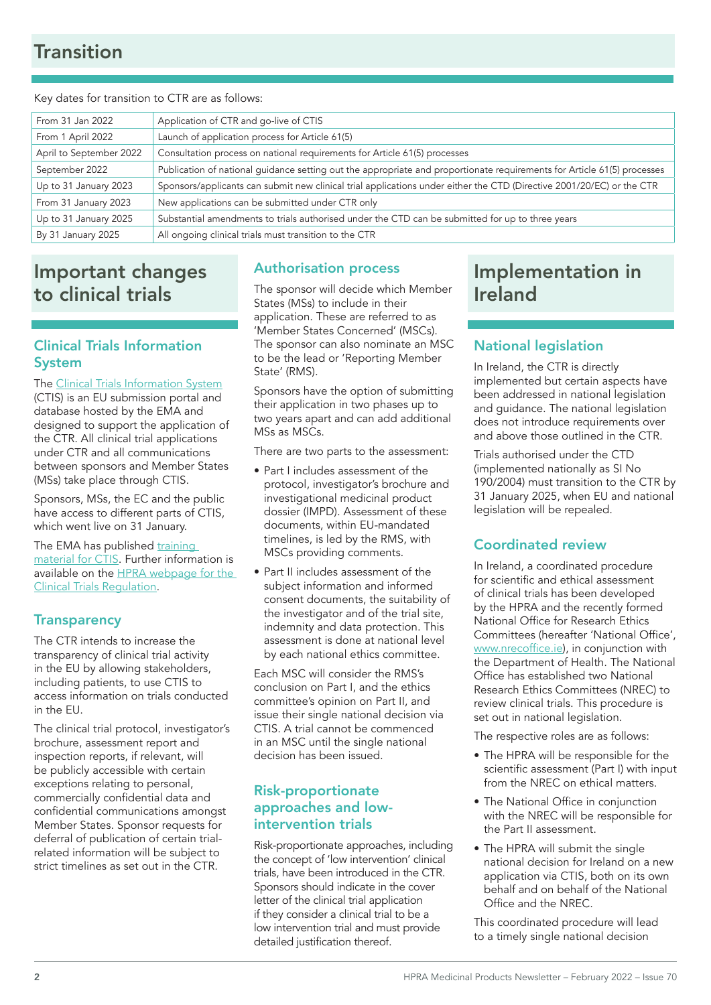## **Transition**

#### Key dates for transition to CTR are as follows:

| From 31 Jan 2022        | Application of CTR and go-live of CTIS                                                                                  |  |
|-------------------------|-------------------------------------------------------------------------------------------------------------------------|--|
| From 1 April 2022       | Launch of application process for Article 61(5)                                                                         |  |
| April to September 2022 | Consultation process on national requirements for Article 61(5) processes                                               |  |
| September 2022          | Publication of national guidance setting out the appropriate and proportionate requirements for Article 61(5) processes |  |
| Up to 31 January 2023   | Sponsors/applicants can submit new clinical trial applications under either the CTD (Directive 2001/20/EC) or the CTR   |  |
| From 31 January 2023    | New applications can be submitted under CTR only                                                                        |  |
| Up to 31 January 2025   | Substantial amendments to trials authorised under the CTD can be submitted for up to three years                        |  |
| By 31 January 2025      | All ongoing clinical trials must transition to the CTR                                                                  |  |

## Important changes to clinical trials

### Clinical Trials Information System

The [Clinical Trials Information System](https://euclinicaltrials.eu/home) (CTIS) is an EU submission portal and database hosted by the EMA and designed to support the application of the CTR. All clinical trial applications under CTR and all communications between sponsors and Member States (MSs) take place through CTIS.

Sponsors, MSs, the EC and the public have access to different parts of CTIS, which went live on 31 January.

The EMA has published [training](https://www.ema.europa.eu/en/human-regulatory/research-development/clinical-trials/clinical-trials-information-system)  [material for CTIS](https://www.ema.europa.eu/en/human-regulatory/research-development/clinical-trials/clinical-trials-information-system). Further information is available on the [HPRA webpage for the](http://www.hpra.ie/homepage/medicines/regulatory-information/clinical-trials/clinical-trial-regulation-(regulation-(eu)-no-536-2014))  [Clinical Trials Regulation](http://www.hpra.ie/homepage/medicines/regulatory-information/clinical-trials/clinical-trial-regulation-(regulation-(eu)-no-536-2014)).

#### **Transparency**

The CTR intends to increase the transparency of clinical trial activity in the EU by allowing stakeholders, including patients, to use CTIS to access information on trials conducted in the EU.

The clinical trial protocol, investigator's brochure, assessment report and inspection reports, if relevant, will be publicly accessible with certain exceptions relating to personal, commercially confidential data and confidential communications amongst Member States. Sponsor requests for deferral of publication of certain trialrelated information will be subject to strict timelines as set out in the CTR.

#### Authorisation process

The sponsor will decide which Member States (MSs) to include in their application. These are referred to as 'Member States Concerned' (MSCs). The sponsor can also nominate an MSC to be the lead or 'Reporting Member State' (RMS).

Sponsors have the option of submitting their application in two phases up to two years apart and can add additional MSs as MSCs.

There are two parts to the assessment:

- Part I includes assessment of the protocol, investigator's brochure and investigational medicinal product dossier (IMPD). Assessment of these documents, within EU-mandated timelines, is led by the RMS, with MSCs providing comments.
- Part II includes assessment of the subject information and informed consent documents, the suitability of the investigator and of the trial site, indemnity and data protection. This assessment is done at national level by each national ethics committee.

Each MSC will consider the RMS's conclusion on Part I, and the ethics committee's opinion on Part II, and issue their single national decision via CTIS. A trial cannot be commenced in an MSC until the single national decision has been issued.

## Risk-proportionate approaches and lowintervention trials

Risk-proportionate approaches, including the concept of 'low intervention' clinical trials, have been introduced in the CTR. Sponsors should indicate in the cover letter of the clinical trial application if they consider a clinical trial to be a low intervention trial and must provide detailed justification thereof.

## Implementation in Ireland

## National legislation

In Ireland, the CTR is directly implemented but certain aspects have been addressed in national legislation and guidance. The national legislation does not introduce requirements over and above those outlined in the CTR.

Trials authorised under the CTD (implemented nationally as SI No 190/2004) must transition to the CTR by 31 January 2025, when EU and national legislation will be repealed.

#### Coordinated review

In Ireland, a coordinated procedure for scientific and ethical assessment of clinical trials has been developed by the HPRA and the recently formed National Office for Research Ethics Committees (hereafter 'National Office', [www.nrecoffice.ie](http://www.nrecoffice.ie)), in conjunction with the Department of Health. The National Office has established two National Research Ethics Committees (NREC) to review clinical trials. This procedure is set out in national legislation.

The respective roles are as follows:

- The HPRA will be responsible for the scientific assessment (Part I) with input from the NREC on ethical matters.
- The National Office in conjunction with the NREC will be responsible for the Part II assessment.
- The HPRA will submit the single national decision for Ireland on a new application via CTIS, both on its own behalf and on behalf of the National Office and the NREC.

This coordinated procedure will lead to a timely single national decision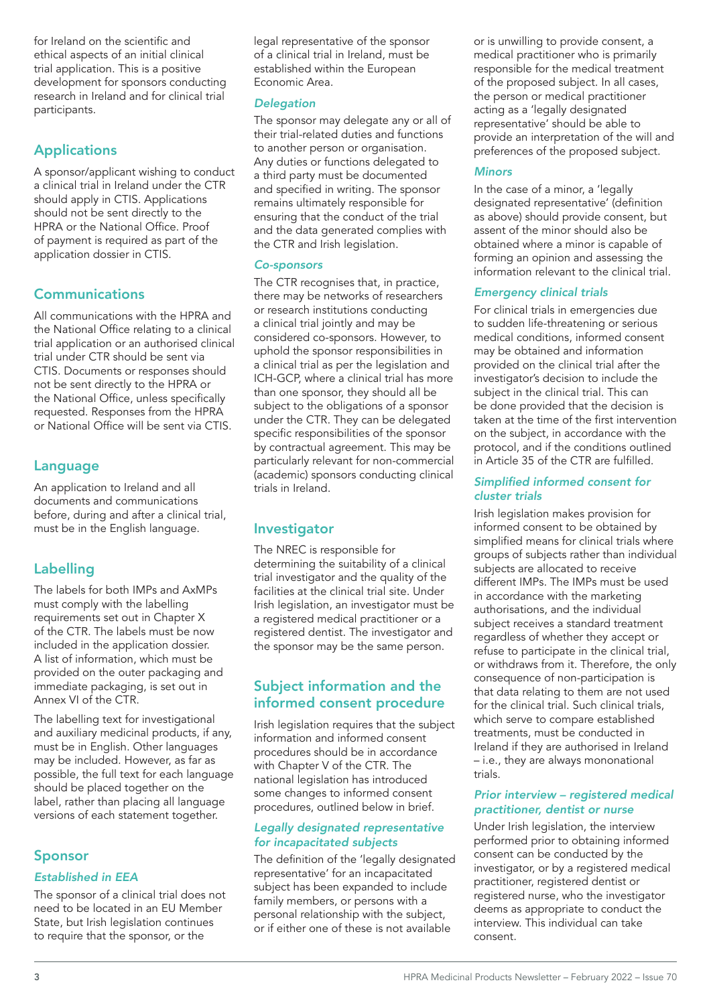for Ireland on the scientific and ethical aspects of an initial clinical trial application. This is a positive development for sponsors conducting research in Ireland and for clinical trial participants.

## Applications

A sponsor/applicant wishing to conduct a clinical trial in Ireland under the CTR should apply in CTIS. Applications should not be sent directly to the HPRA or the National Office. Proof of payment is required as part of the application dossier in CTIS.

## **Communications**

All communications with the HPRA and the National Office relating to a clinical trial application or an authorised clinical trial under CTR should be sent via CTIS. Documents or responses should not be sent directly to the HPRA or the National Office, unless specifically requested. Responses from the HPRA or National Office will be sent via CTIS.

## Language

An application to Ireland and all documents and communications before, during and after a clinical trial, must be in the English language.

## Labelling

The labels for both IMPs and AxMPs must comply with the labelling requirements set out in Chapter X of the CTR. The labels must be now included in the application dossier. A list of information, which must be provided on the outer packaging and immediate packaging, is set out in Annex VI of the CTR.

The labelling text for investigational and auxiliary medicinal products, if any, must be in English. Other languages may be included. However, as far as possible, the full text for each language should be placed together on the label, rather than placing all language versions of each statement together.

## Sponsor

#### *Established in EEA*

The sponsor of a clinical trial does not need to be located in an EU Member State, but Irish legislation continues to require that the sponsor, or the

legal representative of the sponsor of a clinical trial in Ireland, must be established within the European Economic Area.

#### *Delegation*

The sponsor may delegate any or all of their trial-related duties and functions to another person or organisation. Any duties or functions delegated to a third party must be documented and specified in writing. The sponsor remains ultimately responsible for ensuring that the conduct of the trial and the data generated complies with the CTR and Irish legislation.

#### *Co-sponsors*

The CTR recognises that, in practice, there may be networks of researchers or research institutions conducting a clinical trial jointly and may be considered co-sponsors. However, to uphold the sponsor responsibilities in a clinical trial as per the legislation and ICH-GCP, where a clinical trial has more than one sponsor, they should all be subject to the obligations of a sponsor under the CTR. They can be delegated specific responsibilities of the sponsor by contractual agreement. This may be particularly relevant for non-commercial (academic) sponsors conducting clinical trials in Ireland.

## Investigator

The NREC is responsible for determining the suitability of a clinical trial investigator and the quality of the facilities at the clinical trial site. Under Irish legislation, an investigator must be a registered medical practitioner or a registered dentist. The investigator and the sponsor may be the same person.

#### Subject information and the informed consent procedure

Irish legislation requires that the subject information and informed consent procedures should be in accordance with Chapter V of the CTR. The national legislation has introduced some changes to informed consent procedures, outlined below in brief.

#### *Legally designated representative for incapacitated subjects*

The definition of the 'legally designated representative' for an incapacitated subject has been expanded to include family members, or persons with a personal relationship with the subject, or if either one of these is not available

or is unwilling to provide consent, a medical practitioner who is primarily responsible for the medical treatment of the proposed subject. In all cases, the person or medical practitioner acting as a 'legally designated representative' should be able to provide an interpretation of the will and preferences of the proposed subject.

#### *Minors*

In the case of a minor, a 'legally designated representative' (definition as above) should provide consent, but assent of the minor should also be obtained where a minor is capable of forming an opinion and assessing the information relevant to the clinical trial.

#### *Emergency clinical trials*

For clinical trials in emergencies due to sudden life-threatening or serious medical conditions, informed consent may be obtained and information provided on the clinical trial after the investigator's decision to include the subject in the clinical trial. This can be done provided that the decision is taken at the time of the first intervention on the subject, in accordance with the protocol, and if the conditions outlined in Article 35 of the CTR are fulfilled.

#### Simplified informed consent for *cluster trials*

Irish legislation makes provision for informed consent to be obtained by simplified means for clinical trials where groups of subjects rather than individual subjects are allocated to receive different IMPs. The IMPs must be used in accordance with the marketing authorisations, and the individual subject receives a standard treatment regardless of whether they accept or refuse to participate in the clinical trial, or withdraws from it. Therefore, the only consequence of non-participation is that data relating to them are not used for the clinical trial. Such clinical trials, which serve to compare established treatments, must be conducted in Ireland if they are authorised in Ireland – i.e., they are always mononational trials.

#### *Prior interview – registered medical practitioner, dentist or nurse*

Under Irish legislation, the interview performed prior to obtaining informed consent can be conducted by the investigator, or by a registered medical practitioner, registered dentist or registered nurse, who the investigator deems as appropriate to conduct the interview. This individual can take consent.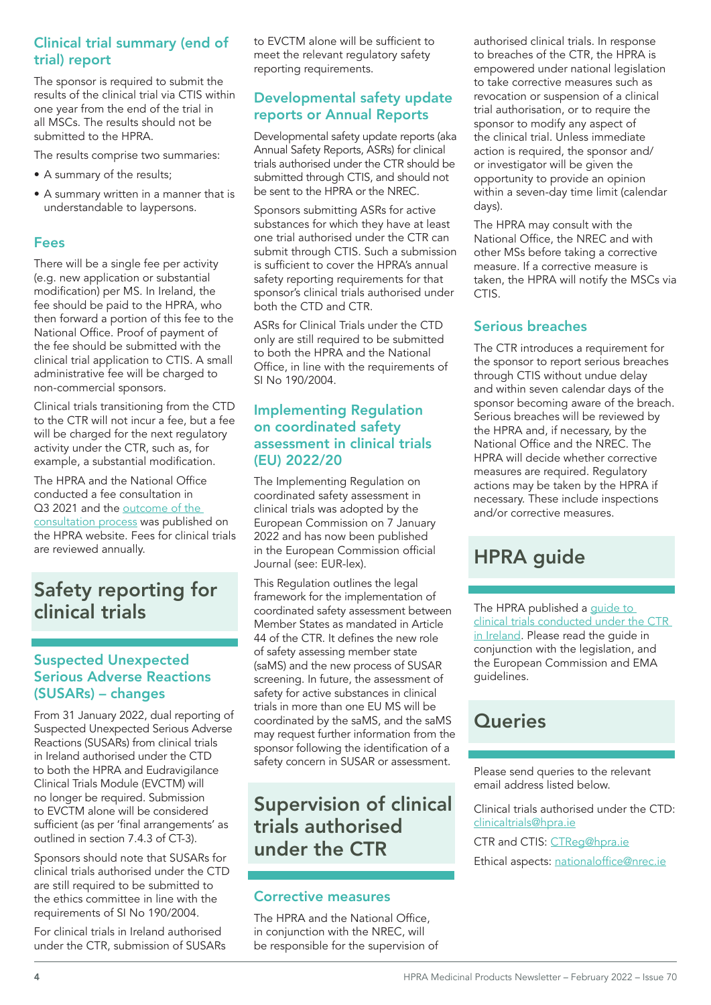#### Clinical trial summary (end of trial) report

The sponsor is required to submit the results of the clinical trial via CTIS within one year from the end of the trial in all MSCs. The results should not be submitted to the HPRA.

The results comprise two summaries:

- A summary of the results;
- A summary written in a manner that is understandable to laypersons.

#### Fees

There will be a single fee per activity (e.g. new application or substantial modification) per MS. In Ireland, the fee should be paid to the HPRA, who then forward a portion of this fee to the National Office. Proof of payment of the fee should be submitted with the clinical trial application to CTIS. A small administrative fee will be charged to non-commercial sponsors.

Clinical trials transitioning from the CTD to the CTR will not incur a fee, but a fee will be charged for the next regulatory activity under the CTR, such as, for example, a substantial modification.

The HPRA and the National Office conducted a fee consultation in Q3 2021 and the outcome of the [consultation process](https://www.hpra.ie/docs/default-source/default-document-library/outcome-of-the-process---public-consultation-on-proposed-clinical-trial-fees-for-2022.pdf?sfvrsn=0) was published on the HPRA website. Fees for clinical trials are reviewed annually.

## Safety reporting for clinical trials

### Suspected Unexpected Serious Adverse Reactions (SUSARs) – changes

From 31 January 2022, dual reporting of Suspected Unexpected Serious Adverse Reactions (SUSARs) from clinical trials in Ireland authorised under the CTD to both the HPRA and Eudravigilance Clinical Trials Module (EVCTM) will no longer be required. Submission to EVCTM alone will be considered sufficient (as per 'final arrangements' as outlined in section 7.4.3 of CT-3).

Sponsors should note that SUSARs for clinical trials authorised under the CTD are still required to be submitted to the ethics committee in line with the requirements of SI No 190/2004.

For clinical trials in Ireland authorised under the CTR, submission of SUSARs to EVCTM alone will be sufficient to meet the relevant regulatory safety reporting requirements.

#### Developmental safety update reports or Annual Reports

Developmental safety update reports (aka Annual Safety Reports, ASRs) for clinical trials authorised under the CTR should be submitted through CTIS, and should not be sent to the HPRA or the NREC.

Sponsors submitting ASRs for active substances for which they have at least one trial authorised under the CTR can submit through CTIS. Such a submission is sufficient to cover the HPRA's annual safety reporting requirements for that sponsor's clinical trials authorised under both the CTD and CTR.

ASRs for Clinical Trials under the CTD only are still required to be submitted to both the HPRA and the National Office, in line with the requirements of SI No 190/2004.

#### Implementing Regulation on coordinated safety assessment in clinical trials (EU) 2022/20

The Implementing Regulation on coordinated safety assessment in clinical trials was adopted by the European Commission on 7 January 2022 and has now been published in the European Commission official Journal (see: EUR-lex).

This Regulation outlines the legal framework for the implementation of coordinated safety assessment between Member States as mandated in Article 44 of the CTR. It defines the new role of safety assessing member state (saMS) and the new process of SUSAR screening. In future, the assessment of safety for active substances in clinical trials in more than one EU MS will be coordinated by the saMS, and the saMS may request further information from the sponsor following the identification of a safety concern in SUSAR or assessment.

## Supervision of clinical trials authorised under the CTR

## Corrective measures

The HPRA and the National Office, in conjunction with the NREC, will be responsible for the supervision of authorised clinical trials. In response to breaches of the CTR, the HPRA is empowered under national legislation to take corrective measures such as revocation or suspension of a clinical trial authorisation, or to require the sponsor to modify any aspect of the clinical trial. Unless immediate action is required, the sponsor and/ or investigator will be given the opportunity to provide an opinion within a seven-day time limit (calendar days).

The HPRA may consult with the National Office, the NREC and with other MSs before taking a corrective measure. If a corrective measure is taken, the HPRA will notify the MSCs via CTIS.

## Serious breaches

The CTR introduces a requirement for the sponsor to report serious breaches through CTIS without undue delay and within seven calendar days of the sponsor becoming aware of the breach. Serious breaches will be reviewed by the HPRA and, if necessary, by the National Office and the NREC. The HPRA will decide whether corrective measures are required. Regulatory actions may be taken by the HPRA if necessary. These include inspections and/or corrective measures.

## HPRA guide

The HPRA published a guide to [clinical trials conducted under the CTR](https://www.hpra.ie/docs/default-source/publications-forms/guidance-documents/guide-to-clinical-trials-conducted-under-the-ctr-in-ireland.pdf?sfvrsn=19)  [in Ireland](https://www.hpra.ie/docs/default-source/publications-forms/guidance-documents/guide-to-clinical-trials-conducted-under-the-ctr-in-ireland.pdf?sfvrsn=19). Please read the guide in conjunction with the legislation, and the European Commission and EMA guidelines.

## **Queries**

Please send queries to the relevant email address listed below.

Clinical trials authorised under the CTD: [clinicaltrials@hpra.ie](mailto:clinicaltrials%40hpra.ie?subject=)

CTR and CTIS: [CTReg@hpra.ie](mailto:CTReg%40hpra.ie?subject=)

Ethical aspects: [nationaloffice@nrec.ie](mailto:nationaloffice%40nrec.ie?subject=)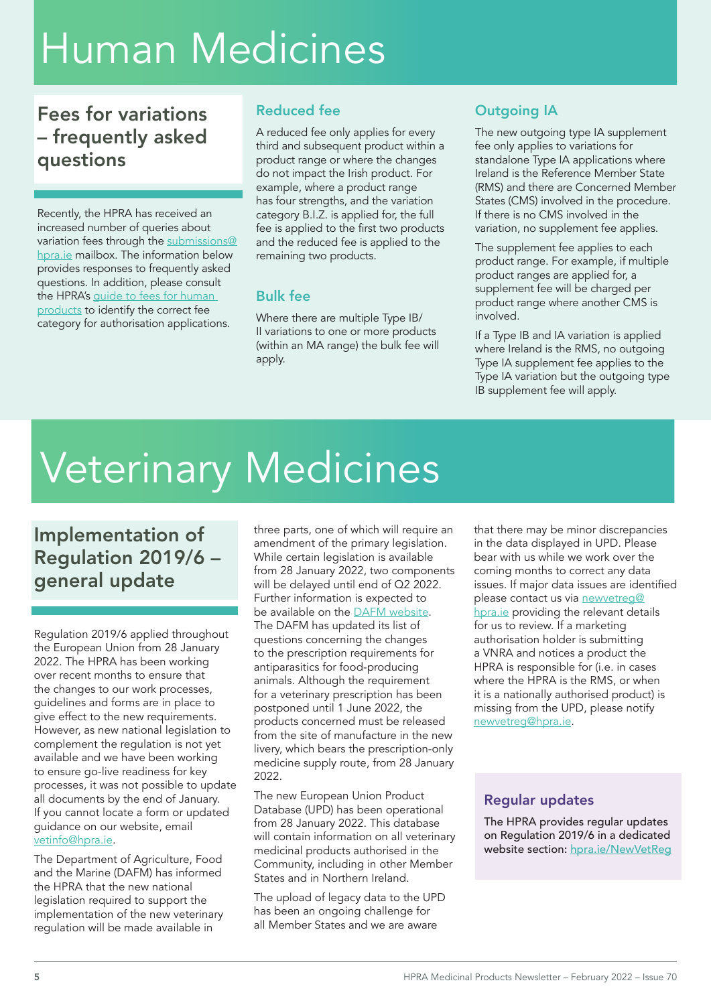## Human Medicines

## Fees for variations – frequently asked questions

Recently, the HPRA has received an increased number of queries about variation fees through the [submissions@](mailto:submissions%40hpra.ie?subject=) [hpra.ie](mailto:submissions%40hpra.ie?subject=) mailbox. The information below provides responses to frequently asked questions. In addition, please consult the HPRA's guide to fees for human [products](https://www.hpra.ie/docs/default-source/publications-forms/guidance-documents/fin-g0002-guide-to-fees-for-human-products-v28.pdf?sfvrsn=74) to identify the correct fee category for authorisation applications.

## Reduced fee

A reduced fee only applies for every third and subsequent product within a product range or where the changes do not impact the Irish product. For example, where a product range has four strengths, and the variation category B.I.Z. is applied for, the full fee is applied to the first two products and the reduced fee is applied to the remaining two products.

## Bulk fee

Where there are multiple Type IB/ II variations to one or more products (within an MA range) the bulk fee will apply.

## Outgoing IA

The new outgoing type IA supplement fee only applies to variations for standalone Type IA applications where Ireland is the Reference Member State (RMS) and there are Concerned Member States (CMS) involved in the procedure. If there is no CMS involved in the variation, no supplement fee applies.

The supplement fee applies to each product range. For example, if multiple product ranges are applied for, a supplement fee will be charged per product range where another CMS is involved.

If a Type IB and IA variation is applied where Ireland is the RMS, no outgoing Type IA supplement fee applies to the Type IA variation but the outgoing type IB supplement fee will apply.

# Veterinary Medicines

Implementation of Regulation 2019/6 – general update

Regulation 2019/6 applied throughout the European Union from 28 January 2022. The HPRA has been working over recent months to ensure that the changes to our work processes, guidelines and forms are in place to give effect to the new requirements. However, as new national legislation to complement the regulation is not yet available and we have been working to ensure go-live readiness for key processes, it was not possible to update all documents by the end of January. If you cannot locate a form or updated guidance on our website, email [vetinfo@hpra.ie](mailto:vetinfo%40hpra.ie?subject=).

The Department of Agriculture, Food and the Marine (DAFM) has informed the HPRA that the new national legislation required to support the implementation of the new veterinary regulation will be made available in

three parts, one of which will require an amendment of the primary legislation. While certain legislation is available from 28 January 2022, two components will be delayed until end of Q2 2022. Further information is expected to be available on the **DAFM** website. The DAFM has updated its list of questions concerning the changes to the prescription requirements for antiparasitics for food-producing animals. Although the requirement for a veterinary prescription has been postponed until 1 June 2022, the products concerned must be released from the site of manufacture in the new livery, which bears the prescription-only medicine supply route, from 28 January 2022.

The new European Union Product Database (UPD) has been operational from 28 January 2022. This database will contain information on all veterinary medicinal products authorised in the Community, including in other Member States and in Northern Ireland.

The upload of legacy data to the UPD has been an ongoing challenge for all Member States and we are aware

that there may be minor discrepancies in the data displayed in UPD. Please bear with us while we work over the coming months to correct any data issues. If major data issues are identified please contact us via [newvetreg@](mailto:newvetreg%40hpra.ie?subject=) [hpra.ie](mailto:newvetreg%40hpra.ie?subject=) providing the relevant details for us to review. If a marketing authorisation holder is submitting a VNRA and notices a product the HPRA is responsible for (i.e. in cases where the HPRA is the RMS, or when it is a nationally authorised product) is missing from the UPD, please notify [newvetreg@hpra.ie](mailto:newvetreg%40hpra.ie?subject=).

## Regular updates

The HPRA provides regular updates on Regulation 2019/6 in a dedicated website section: [hpra.ie/](http://hpra.ie/NewVetReg)NewVetReg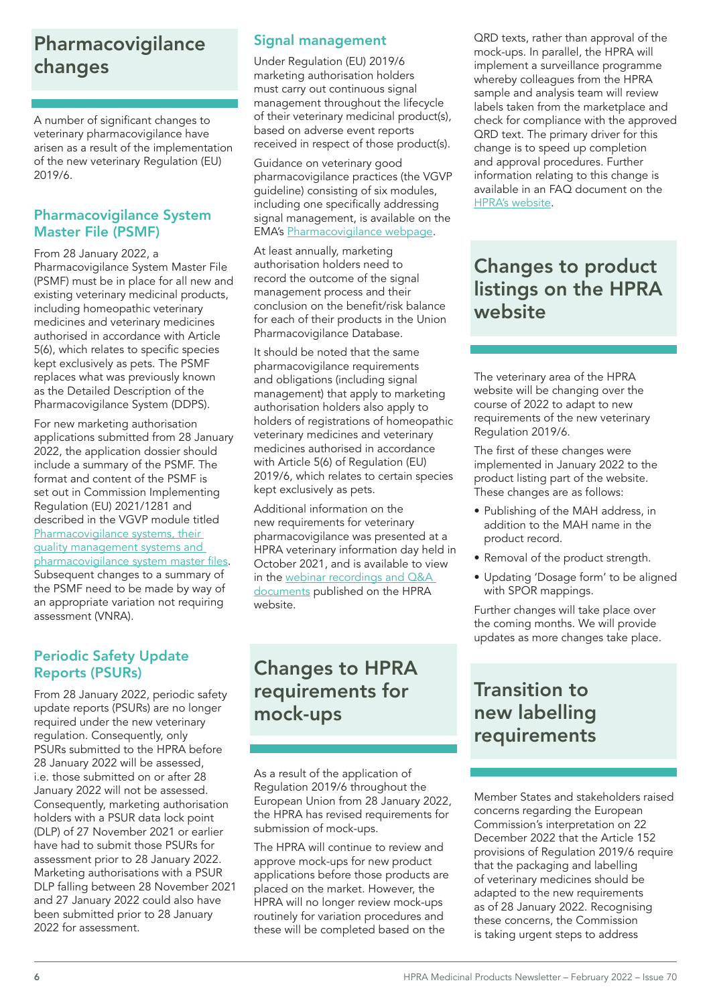## Pharmacovigilance changes

A number of significant changes to veterinary pharmacovigilance have arisen as a result of the implementation of the new veterinary Regulation (EU) 2019/6.

### Pharmacovigilance System Master File (PSMF)

From 28 January 2022, a Pharmacovigilance System Master File (PSMF) must be in place for all new and existing veterinary medicinal products, including homeopathic veterinary medicines and veterinary medicines authorised in accordance with Article 5(6), which relates to specific species kept exclusively as pets. The PSMF replaces what was previously known as the Detailed Description of the Pharmacovigilance System (DDPS).

For new marketing authorisation applications submitted from 28 January 2022, the application dossier should include a summary of the PSMF. The format and content of the PSMF is set out in Commission Implementing Regulation (EU) 2021/1281 and described in the VGVP module titled Pharmacovigilance systems, their [quality management systems and](https://www.ema.europa.eu/en/documents/regulatory-procedural-guideline/guideline-veterinary-good-pharmacovigilance-practices-vgvp-module-pharmacovigilance-systems-their_en.pdf)  [pharmacovigilance](https://www.ema.europa.eu/en/documents/regulatory-procedural-guideline/guideline-veterinary-good-pharmacovigilance-practices-vgvp-module-pharmacovigilance-systems-their_en.pdf) system master files. Subsequent changes to a summary of the PSMF need to be made by way of an appropriate variation not requiring assessment (VNRA).

## Periodic Safety Update Reports (PSURs)

From 28 January 2022, periodic safety update reports (PSURs) are no longer required under the new veterinary regulation. Consequently, only PSURs submitted to the HPRA before 28 January 2022 will be assessed, i.e. those submitted on or after 28 January 2022 will not be assessed. Consequently, marketing authorisation holders with a PSUR data lock point (DLP) of 27 November 2021 or earlier have had to submit those PSURs for assessment prior to 28 January 2022. Marketing authorisations with a PSUR DLP falling between 28 November 2021 and 27 January 2022 could also have been submitted prior to 28 January 2022 for assessment.

## Signal management

Under Regulation (EU) 2019/6 marketing authorisation holders must carry out continuous signal management throughout the lifecycle of their veterinary medicinal product(s), based on adverse event reports received in respect of those product(s).

Guidance on veterinary good pharmacovigilance practices (the VGVP guideline) consisting of six modules, including one specifically addressing signal management, is available on the EMA's [Pharmacovigilance webpage](https://www.ema.europa.eu/en/veterinary-regulatory/post-authorisation/pharmacovigilance-veterinary-medicines).

At least annually, marketing authorisation holders need to record the outcome of the signal management process and their conclusion on the benefit/risk balance for each of their products in the Union Pharmacovigilance Database.

It should be noted that the same pharmacovigilance requirements and obligations (including signal management) that apply to marketing authorisation holders also apply to holders of registrations of homeopathic veterinary medicines and veterinary medicines authorised in accordance with Article 5(6) of Regulation (EU) 2019/6, which relates to certain species kept exclusively as pets.

Additional information on the new requirements for veterinary pharmacovigilance was presented at a HPRA veterinary information day held in October 2021, and is available to view in the [webinar recordings and Q&A](http://www.hpra.ie/homepage/veterinary/regulatory-information/implementation-of-the-new-veterinary-regulation-(regulation-2019-6)/webinar/videos---information-day-2021)  [documents](http://www.hpra.ie/homepage/veterinary/regulatory-information/implementation-of-the-new-veterinary-regulation-(regulation-2019-6)/webinar/videos---information-day-2021) published on the HPRA website.

## Changes to HPRA requirements for mock-ups

As a result of the application of Regulation 2019/6 throughout the European Union from 28 January 2022, the HPRA has revised requirements for submission of mock-ups.

The HPRA will continue to review and approve mock-ups for new product applications before those products are placed on the market. However, the HPRA will no longer review mock-ups routinely for variation procedures and these will be completed based on the

QRD texts, rather than approval of the mock-ups. In parallel, the HPRA will implement a surveillance programme whereby colleagues from the HPRA sample and analysis team will review labels taken from the marketplace and check for compliance with the approved QRD text. The primary driver for this change is to speed up completion and approval procedures. Further information relating to this change is available in an FAQ document on the [HPRA's website](https://www.hpra.ie/docs/default-source/publications-forms/guidance-documents/faqs-on-processing-the-labelling-and-package-leaflet-for-veterinary-medicinal-products-v1.pdf?sfvrsn=6).

## Changes to product listings on the HPRA website

The veterinary area of the HPRA website will be changing over the course of 2022 to adapt to new requirements of the new veterinary Regulation 2019/6.

The first of these changes were implemented in January 2022 to the product listing part of the website. These changes are as follows:

- Publishing of the MAH address, in addition to the MAH name in the product record.
- Removal of the product strength.
- Updating 'Dosage form' to be aligned with SPOR mappings.

Further changes will take place over the coming months. We will provide updates as more changes take place.

## Transition to new labelling requirements

Member States and stakeholders raised concerns regarding the European Commission's interpretation on 22 December 2022 that the Article 152 provisions of Regulation 2019/6 require that the packaging and labelling of veterinary medicines should be adapted to the new requirements as of 28 January 2022. Recognising these concerns, the Commission is taking urgent steps to address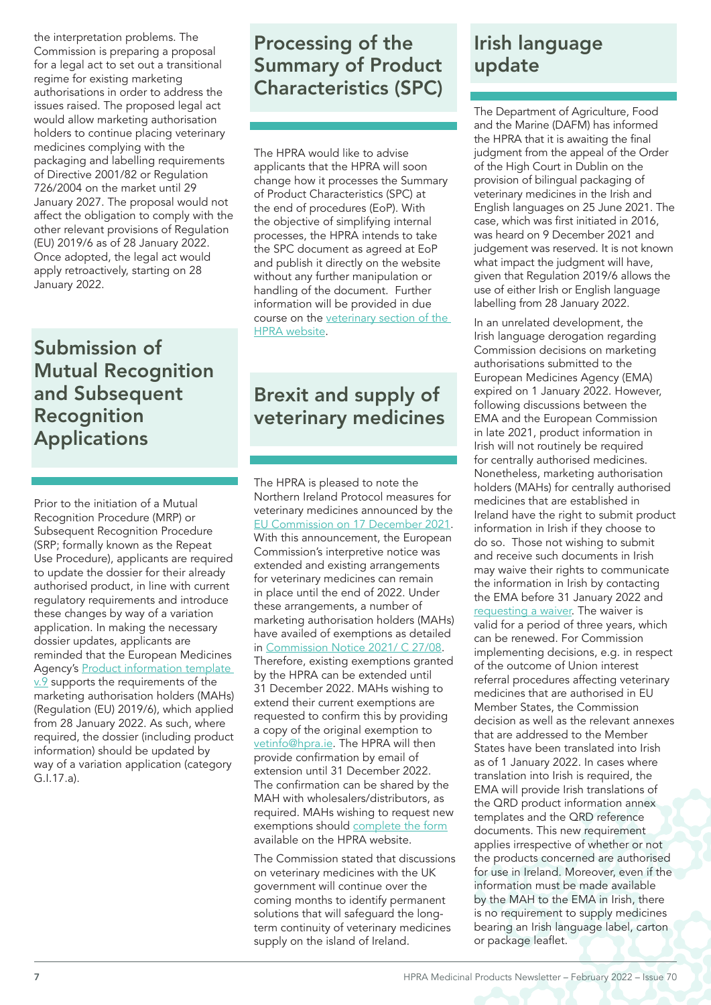the interpretation problems. The Commission is preparing a proposal for a legal act to set out a transitional regime for existing marketing authorisations in order to address the issues raised. The proposed legal act would allow marketing authorisation holders to continue placing veterinary medicines complying with the packaging and labelling requirements of Directive 2001/82 or Regulation 726/2004 on the market until 29 January 2027. The proposal would not affect the obligation to comply with the other relevant provisions of Regulation (EU) 2019/6 as of 28 January 2022. Once adopted, the legal act would apply retroactively, starting on 28 January 2022.

## Submission of Mutual Recognition and Subsequent Recognition Applications

Prior to the initiation of a Mutual Recognition Procedure (MRP) or Subsequent Recognition Procedure (SRP; formally known as the Repeat Use Procedure), applicants are required to update the dossier for their already authorised product, in line with current regulatory requirements and introduce these changes by way of a variation application. In making the necessary dossier updates, applicants are reminded that the European Medicines Agency's Product information template [v.9](https://www.ema.europa.eu/en/veterinary-regulatory/marketing-authorisation/product-information/veterinary-product-information-templates#current-template-(v.9)-section) supports the requirements of the marketing authorisation holders (MAHs) (Regulation (EU) 2019/6), which applied from 28 January 2022. As such, where required, the dossier (including product information) should be updated by way of a variation application (category G.I.17.a).

## Processing of the Summary of Product Characteristics (SPC)

The HPRA would like to advise applicants that the HPRA will soon change how it processes the Summary of Product Characteristics (SPC) at the end of procedures (EoP). With the objective of simplifying internal processes, the HPRA intends to take the SPC document as agreed at EoP and publish it directly on the website without any further manipulation or handling of the document. Further information will be provided in due course on the [veterinary section of the](https://www.hpra.ie/homepage/veterinary)  [HPRA website](https://www.hpra.ie/homepage/veterinary).

## Brexit and supply of veterinary medicines

The HPRA is pleased to note the Northern Ireland Protocol measures for veterinary medicines announced by the [EU Commission on 17 December 2021](https://ec.europa.eu/commission/presscorner/detail/en/qanda_21_6912). With this announcement, the European Commission's interpretive notice was extended and existing arrangements for veterinary medicines can remain in place until the end of 2022. Under these arrangements, a number of marketing authorisation holders (MAHs) have availed of exemptions as detailed in [Commission Notice 2021/ C 27/08.](https://eur-lex.europa.eu/legal-content/EN/TXT/PDF/?uri=CELEX:52021XC0125(01)&from=FR) Therefore, existing exemptions granted by the HPRA can be extended until 31 December 2022. MAHs wishing to extend their current exemptions are requested to confirm this by providing a copy of the original exemption to [vetinfo@hpra.ie.](mailto:vetinfo%40hpra.ie?subject=) The HPRA will then provide confirmation by email of extension until 31 December 2022. The confirmation can be shared by the MAH with wholesalers/distributors, as required. MAHs wishing to request new exemptions should [complete the form](http://www.hpra.ie/docs/default-source/default-document-library/request-for-batch-control-exemption-and-other-flexibilities.docx?sfvrsn=2) available on the HPRA website.

The Commission stated that discussions on veterinary medicines with the UK government will continue over the coming months to identify permanent solutions that will safeguard the longterm continuity of veterinary medicines supply on the island of Ireland.

## Irish language update

The Department of Agriculture, Food and the Marine (DAFM) has informed the HPRA that it is awaiting the final judgment from the appeal of the Order of the High Court in Dublin on the provision of bilingual packaging of veterinary medicines in the Irish and English languages on 25 June 2021. The case, which was first initiated in 2016, was heard on 9 December 2021 and judgement was reserved. It is not known what impact the judgment will have, given that Regulation 2019/6 allows the use of either Irish or English language labelling from 28 January 2022.

In an unrelated development, the Irish language derogation regarding Commission decisions on marketing authorisations submitted to the European Medicines Agency (EMA) expired on 1 January 2022. However, following discussions between the EMA and the European Commission in late 2021, product information in Irish will not routinely be required for centrally authorised medicines. Nonetheless, marketing authorisation holders (MAHs) for centrally authorised medicines that are established in Ireland have the right to submit product information in Irish if they choose to do so. Those not wishing to submit and receive such documents in Irish may waive their rights to communicate the information in Irish by contacting the EMA before 31 January 2022 and [requesting a waiver.](mailto:IrishWaiver%40ema.europa.eu?subject=) The waiver is valid for a period of three years, which can be renewed. For Commission implementing decisions, e.g. in respect of the outcome of Union interest referral procedures affecting veterinary medicines that are authorised in EU Member States, the Commission decision as well as the relevant annexes that are addressed to the Member States have been translated into Irish as of 1 January 2022. In cases where translation into Irish is required, the EMA will provide Irish translations of the QRD product information annex templates and the QRD reference documents. This new requirement applies irrespective of whether or not the products concerned are authorised for use in Ireland. Moreover, even if the information must be made available by the MAH to the EMA in Irish, there is no requirement to supply medicines bearing an Irish language label, carton or package leaflet.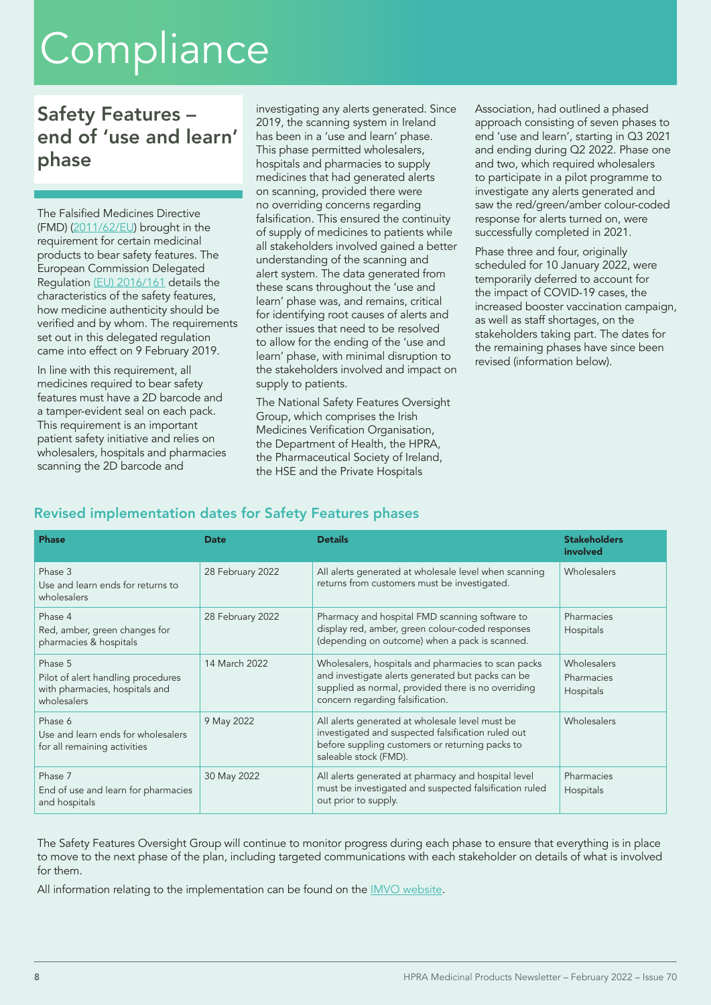## **Compliance**

## Safety Features – end of 'use and learn' phase

The Falsified Medicines Directive (FMD) [\(2011/62/EU](https://ec.europa.eu/health/system/files/2016-11/dir_2011_62_en_0.pdf)) brought in the requirement for certain medicinal products to bear safety features. The European Commission Delegated Regulation [\(EU\) 2016/161](https://ec.europa.eu/health/system/files/2016-11/reg_2016_161_en_0.pdf) details the characteristics of the safety features, how medicine authenticity should be verified and by whom. The requirements set out in this delegated regulation came into effect on 9 February 2019.

In line with this requirement, all medicines required to bear safety features must have a 2D barcode and a tamper-evident seal on each pack. This requirement is an important patient safety initiative and relies on wholesalers, hospitals and pharmacies scanning the 2D barcode and

investigating any alerts generated. Since 2019, the scanning system in Ireland has been in a 'use and learn' phase. This phase permitted wholesalers, hospitals and pharmacies to supply medicines that had generated alerts on scanning, provided there were no overriding concerns regarding falsification. This ensured the continuity of supply of medicines to patients while all stakeholders involved gained a better understanding of the scanning and alert system. The data generated from these scans throughout the 'use and learn' phase was, and remains, critical for identifying root causes of alerts and other issues that need to be resolved to allow for the ending of the 'use and learn' phase, with minimal disruption to the stakeholders involved and impact on supply to patients.

The National Safety Features Oversight Group, which comprises the Irish Medicines Verification Organisation, the Department of Health, the HPRA, the Pharmaceutical Society of Ireland, the HSE and the Private Hospitals

Association, had outlined a phased approach consisting of seven phases to end 'use and learn', starting in Q3 2021 and ending during Q2 2022. Phase one and two, which required wholesalers to participate in a pilot programme to investigate any alerts generated and saw the red/green/amber colour-coded response for alerts turned on, were successfully completed in 2021.

Phase three and four, originally scheduled for 10 January 2022, were temporarily deferred to account for the impact of COVID-19 cases, the increased booster vaccination campaign, as well as staff shortages, on the stakeholders taking part. The dates for the remaining phases have since been revised (information below).

## Revised implementation dates for Safety Features phases

| <b>Phase</b>                                                                                   | Date             | <b>Details</b>                                                                                                                                                                                      | <b>Stakeholders</b><br>involved        |
|------------------------------------------------------------------------------------------------|------------------|-----------------------------------------------------------------------------------------------------------------------------------------------------------------------------------------------------|----------------------------------------|
| Phase 3<br>Use and learn ends for returns to<br>wholesalers                                    | 28 February 2022 | All alerts generated at wholesale level when scanning<br>returns from customers must be investigated.                                                                                               | Wholesalers                            |
| Phase 4<br>Red, amber, green changes for<br>pharmacies & hospitals                             | 28 February 2022 | Pharmacy and hospital FMD scanning software to<br>display red, amber, green colour-coded responses<br>(depending on outcome) when a pack is scanned.                                                | Pharmacies<br>Hospitals                |
| Phase 5<br>Pilot of alert handling procedures<br>with pharmacies, hospitals and<br>wholesalers | 14 March 2022    | Wholesalers, hospitals and pharmacies to scan packs<br>and investigate alerts generated but packs can be<br>supplied as normal, provided there is no overriding<br>concern regarding falsification. | Wholesalers<br>Pharmacies<br>Hospitals |
| Phase 6<br>Use and learn ends for wholesalers<br>for all remaining activities                  | 9 May 2022       | All alerts generated at wholesale level must be<br>investigated and suspected falsification ruled out<br>before suppling customers or returning packs to<br>saleable stock (FMD).                   | Wholesalers                            |
| Phase 7<br>End of use and learn for pharmacies<br>and hospitals                                | 30 May 2022      | All alerts generated at pharmacy and hospital level<br>must be investigated and suspected falsification ruled<br>out prior to supply.                                                               | Pharmacies<br>Hospitals                |

The Safety Features Oversight Group will continue to monitor progress during each phase to ensure that everything is in place to move to the next phase of the plan, including targeted communications with each stakeholder on details of what is involved for them.

All information relating to the implementation can be found on the **IMVO** website.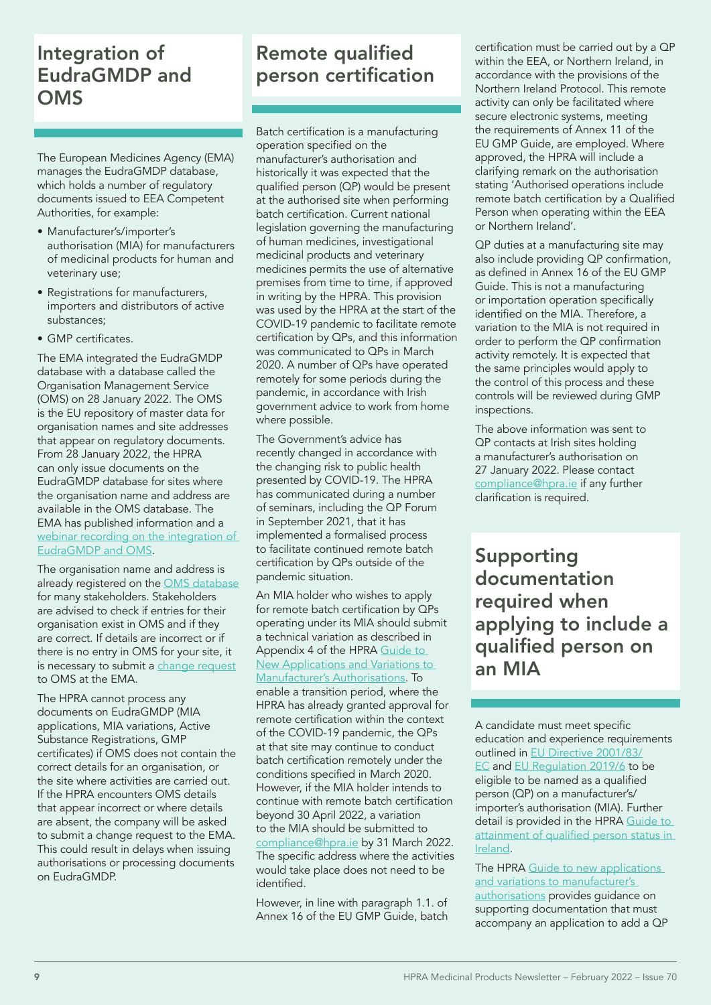## Integration of EudraGMDP and **OMS**

The European Medicines Agency (EMA) manages the EudraGMDP database, which holds a number of regulatory documents issued to EEA Competent Authorities, for example:

- Manufacturer's/importer's authorisation (MIA) for manufacturers of medicinal products for human and veterinary use;
- Registrations for manufacturers, importers and distributors of active substances;
- GMP certificates.

The EMA integrated the EudraGMDP database with a database called the Organisation Management Service (OMS) on 28 January 2022. The OMS is the EU repository of master data for organisation names and site addresses that appear on regulatory documents. From 28 January 2022, the HPRA can only issue documents on the EudraGMDP database for sites where the organisation name and address are available in the OMS database. The EMA has published information and a webinar recording on the integration of [EudraGMDP and OMS](https://www.ema.europa.eu/en/events/integration-eudragmdp-oms-webinar-industry).

The organisation name and address is already registered on the [OMS database](https://spor.ema.europa.eu/omswi/#/) for many stakeholders. Stakeholders are advised to check if entries for their organisation exist in OMS and if they are correct. If details are incorrect or if there is no entry in OMS for your site, it is necessary to submit a [change request](https://www.ema.europa.eu/en/human-regulatory/research-development/data-medicines-iso-idmp-standards/spor-master-data/organisation-management-service-oms#submitting-change-requests-section) to OMS at the EMA.

The HPRA cannot process any documents on EudraGMDP (MIA applications, MIA variations, Active Substance Registrations, GMP certificates) if OMS does not contain the correct details for an organisation, or the site where activities are carried out. If the HPRA encounters OMS details that appear incorrect or where details are absent, the company will be asked to submit a change request to the EMA. This could result in delays when issuing authorisations or processing documents on EudraGMDP.

## Remote qualified person certification

Batch certification is a manufacturing operation specified on the manufacturer's authorisation and historically it was expected that the qualified person (QP) would be present at the authorised site when performing batch certification. Current national legislation governing the manufacturing of human medicines, investigational medicinal products and veterinary medicines permits the use of alternative premises from time to time, if approved in writing by the HPRA. This provision was used by the HPRA at the start of the COVID-19 pandemic to facilitate remote certification by QPs, and this information was communicated to QPs in March 2020. A number of QPs have operated remotely for some periods during the pandemic, in accordance with Irish government advice to work from home where possible.

The Government's advice has recently changed in accordance with the changing risk to public health presented by COVID-19. The HPRA has communicated during a number of seminars, including the QP Forum in September 2021, that it has implemented a formalised process to facilitate continued remote batch certification by QPs outside of the pandemic situation.

An MIA holder who wishes to apply for remote batch certification by QPs operating under its MIA should submit a technical variation as described in Appendix 4 of the HPRA Guide to [New Applications and Variations to](https://www.hpra.ie/docs/default-source/publications-forms/guidance-documents/guide-to-new-applications-and-variations-to-manufacturer)  [Manufacturer's Authorisations](https://www.hpra.ie/docs/default-source/publications-forms/guidance-documents/guide-to-new-applications-and-variations-to-manufacturer). To enable a transition period, where the HPRA has already granted approval for remote certification within the context of the COVID-19 pandemic, the QPs at that site may continue to conduct batch certification remotely under the conditions specified in March 2020. However, if the MIA holder intends to continue with remote batch certification beyond 30 April 2022, a variation to the MIA should be submitted to [compliance@hpra.ie](mailto:compliance%40hpra.ie?subject=) by 31 March 2022. The specific address where the activities would take place does not need to be identified.

However, in line with paragraph 1.1. of Annex 16 of the EU GMP Guide, batch

certification must be carried out by a QP within the EEA, or Northern Ireland, in accordance with the provisions of the Northern Ireland Protocol. This remote activity can only be facilitated where secure electronic systems, meeting the requirements of Annex 11 of the EU GMP Guide, are employed. Where approved, the HPRA will include a clarifying remark on the authorisation stating 'Authorised operations include remote batch certification by a Qualified Person when operating within the EEA or Northern Ireland'.

QP duties at a manufacturing site may also include providing QP confirmation, as defined in Annex 16 of the EU GMP Guide. This is not a manufacturing or importation operation specifically identified on the MIA. Therefore, a variation to the MIA is not required in order to perform the QP confirmation activity remotely. It is expected that the same principles would apply to the control of this process and these controls will be reviewed during GMP inspections.

The above information was sent to QP contacts at Irish sites holding a manufacturer's authorisation on 27 January 2022. Please contact [compliance@hpra.ie](mailto:compliance%40hpra.ie?subject=) if any further clarification is required.

Supporting documentation required when applying to include a qualified person on an MIA

A candidate must meet specific education and experience requirements outlined in [EU Directive 2001/83/](https://eur-lex.europa.eu/legal-content/EN/TXT/?uri=CELEX%3A32001L0083&qid=1644229860889) [EC](https://eur-lex.europa.eu/legal-content/EN/TXT/?uri=CELEX%3A32001L0083&qid=1644229860889) and [EU Regulation 2019/6](https://eur-lex.europa.eu/legal-content/EN/TXT/?uri=CELEX%3A32019R0517&qid=1644229940042) to be eligible to be named as a qualified person (QP) on a manufacturer's/ importer's authorisation (MIA). Further detail is provided in the HPRA [Guide to](https://www.hpra.ie/docs/default-source/publications-forms/guidance-documents/aut-g0080-guide-to-attainment-of-qualified-person-status-in-ireland-v3.pdf?sfvrsn=19)  [attainment](https://www.hpra.ie/docs/default-source/publications-forms/guidance-documents/aut-g0080-guide-to-attainment-of-qualified-person-status-in-ireland-v3.pdf?sfvrsn=19) of qualified person status in [Ireland.](https://www.hpra.ie/docs/default-source/publications-forms/guidance-documents/aut-g0080-guide-to-attainment-of-qualified-person-status-in-ireland-v3.pdf?sfvrsn=19)

The HPRA Guide to new applications [and variations to manufacturer's](https://www.hpra.ie/docs/default-source/publications-forms/guidance-documents/guide-to-new-applications-and-variations-to-manufacturer)  [authorisations](https://www.hpra.ie/docs/default-source/publications-forms/guidance-documents/guide-to-new-applications-and-variations-to-manufacturer) provides guidance on supporting documentation that must accompany an application to add a QP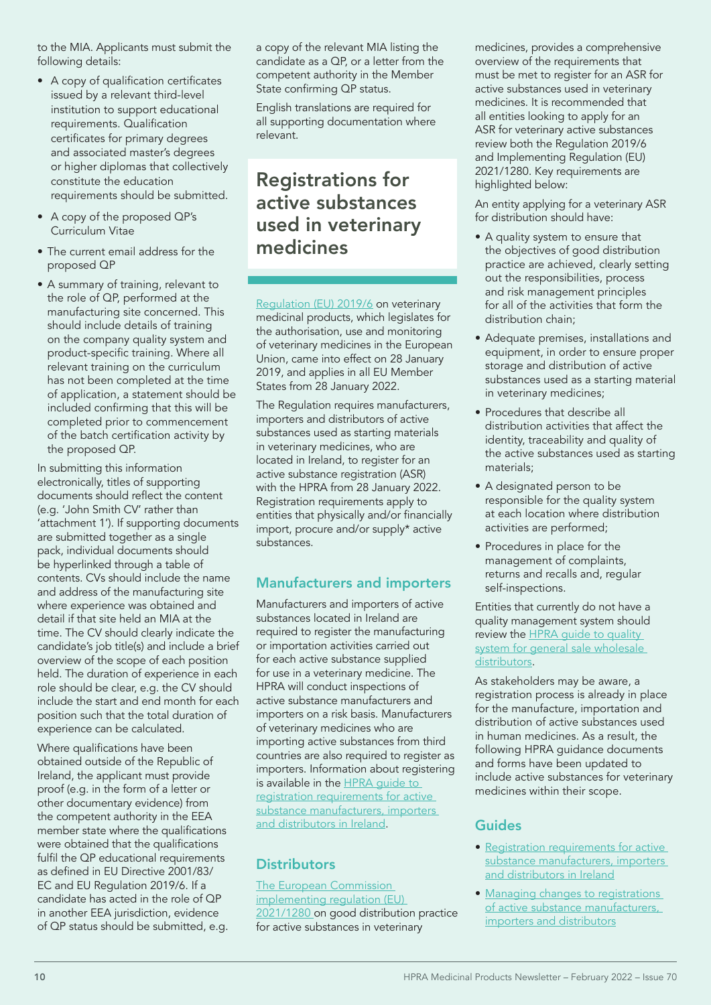to the MIA. Applicants must submit the following details:

- • A copy of qualification certificates issued by a relevant third-level institution to support educational requirements. Qualification certificates for primary degrees and associated master's degrees or higher diplomas that collectively constitute the education requirements should be submitted.
- A copy of the proposed QP's Curriculum Vitae
- The current email address for the proposed QP
- A summary of training, relevant to the role of QP, performed at the manufacturing site concerned. This should include details of training on the company quality system and product-specific training. Where all relevant training on the curriculum has not been completed at the time of application, a statement should be included confirming that this will be completed prior to commencement of the batch certification activity by the proposed QP.

In submitting this information electronically, titles of supporting documents should reflect the content (e.g. 'John Smith CV' rather than 'attachment 1'). If supporting documents are submitted together as a single pack, individual documents should be hyperlinked through a table of contents. CVs should include the name and address of the manufacturing site where experience was obtained and detail if that site held an MIA at the time. The CV should clearly indicate the candidate's job title(s) and include a brief overview of the scope of each position held. The duration of experience in each role should be clear, e.g. the CV should include the start and end month for each position such that the total duration of experience can be calculated.

Where qualifications have been obtained outside of the Republic of Ireland, the applicant must provide proof (e.g. in the form of a letter or other documentary evidence) from the competent authority in the EEA member state where the qualifications were obtained that the qualifications fulfil the QP educational requirements as defined in EU Directive 2001/83/ EC and EU Regulation 2019/6. If a candidate has acted in the role of QP in another EEA jurisdiction, evidence of QP status should be submitted, e.g. a copy of the relevant MIA listing the candidate as a QP, or a letter from the competent authority in the Member State confirming QP status.

English translations are required for all supporting documentation where relevant.

## Registrations for active substances used in veterinary medicines

[Regulation \(EU\) 2019/6](https://eur-lex.europa.eu/eli/reg/2019/6/oj) on veterinary medicinal products, which legislates for the authorisation, use and monitoring of veterinary medicines in the European Union, came into effect on 28 January 2019, and applies in all EU Member States from 28 January 2022.

The Regulation requires manufacturers, importers and distributors of active substances used as starting materials in veterinary medicines, who are located in Ireland, to register for an active substance registration (ASR) with the HPRA from 28 January 2022. Registration requirements apply to entities that physically and/or financially import, procure and/or supply\* active substances.

## Manufacturers and importers

Manufacturers and importers of active substances located in Ireland are required to register the manufacturing or importation activities carried out for each active substance supplied for use in a veterinary medicine. The HPRA will conduct inspections of active substance manufacturers and importers on a risk basis. Manufacturers of veterinary medicines who are importing active substances from third countries are also required to register as importers. Information about registering is available in the **HPRA** quide to [registration requirements for active](https://www.hpra.ie/homepage/about-us/publications-forms/guidance-documents/item?id=1c60f925-9782-6eee-9b55-ff00008c97d0&t=/docs/default-source/publications-forms/guidance-documents/aut-g0105-guide-to-registration-requirements-for-active-substances-manufacturers-importers-and-distributors-in-ireland-v7)  [substance manufacturers, importers](https://www.hpra.ie/homepage/about-us/publications-forms/guidance-documents/item?id=1c60f925-9782-6eee-9b55-ff00008c97d0&t=/docs/default-source/publications-forms/guidance-documents/aut-g0105-guide-to-registration-requirements-for-active-substances-manufacturers-importers-and-distributors-in-ireland-v7)  [and distributors in Ireland.](https://www.hpra.ie/homepage/about-us/publications-forms/guidance-documents/item?id=1c60f925-9782-6eee-9b55-ff00008c97d0&t=/docs/default-source/publications-forms/guidance-documents/aut-g0105-guide-to-registration-requirements-for-active-substances-manufacturers-importers-and-distributors-in-ireland-v7)

## **Distributors**

[The European Commission](https://eur-lex.europa.eu/legal-content/EN/TXT/?uri=CELEX:32021R1280)  [implementing regulation \(EU\)](https://eur-lex.europa.eu/legal-content/EN/TXT/?uri=CELEX:32021R1280)  [2021/1280 o](https://eur-lex.europa.eu/legal-content/EN/TXT/?uri=CELEX:32021R1280)n good distribution practice for active substances in veterinary

medicines, provides a comprehensive overview of the requirements that must be met to register for an ASR for active substances used in veterinary medicines. It is recommended that all entities looking to apply for an ASR for veterinary active substances review both the Regulation 2019/6 and Implementing Regulation (EU) 2021/1280. Key requirements are highlighted below:

An entity applying for a veterinary ASR for distribution should have:

- A quality system to ensure that the objectives of good distribution practice are achieved, clearly setting out the responsibilities, process and risk management principles for all of the activities that form the distribution chain;
- Adequate premises, installations and equipment, in order to ensure proper storage and distribution of active substances used as a starting material in veterinary medicines;
- Procedures that describe all distribution activities that affect the identity, traceability and quality of the active substances used as starting materials;
- A designated person to be responsible for the quality system at each location where distribution activities are performed;
- Procedures in place for the management of complaints, returns and recalls and, regular self-inspections.

Entities that currently do not have a quality management system should review the [HPRA guide to quality](http://www.hpra.ie/homepage/about-us/publications-forms/guidance-documents/item?id=d063f925-9782-6eee-9b55-ff00008c97d0)  system for general sale wholesale [distributors.](http://www.hpra.ie/homepage/about-us/publications-forms/guidance-documents/item?id=d063f925-9782-6eee-9b55-ff00008c97d0)

As stakeholders may be aware, a registration process is already in place for the manufacture, importation and distribution of active substances used in human medicines. As a result, the following HPRA guidance documents and forms have been updated to include active substances for veterinary medicines within their scope.

## Guides

- [Registration requirements for active](http://www.hpra.ie/docs/default-source/publications-forms/guidance-documents/aut-g0105-guide-to-registration-requirements-for-active-substances-manufacturers-importers-and-distributors-in-ireland-v7.pdf?Status=Master&sfvrsn=34)  [substance manufacturers, importers](http://www.hpra.ie/docs/default-source/publications-forms/guidance-documents/aut-g0105-guide-to-registration-requirements-for-active-substances-manufacturers-importers-and-distributors-in-ireland-v7.pdf?Status=Master&sfvrsn=34)  [and distributors in Ireland](http://www.hpra.ie/docs/default-source/publications-forms/guidance-documents/aut-g0105-guide-to-registration-requirements-for-active-substances-manufacturers-importers-and-distributors-in-ireland-v7.pdf?Status=Master&sfvrsn=34)
- [Managing changes to registrations](https://www.hpra.ie/docs/default-source/publications-forms/guidance-documents/aut-g0130-guide-to-managing-changes-to-registration-for-active-substance-manufacturers-importers-and-distributors-v1.pdf?sfvrsn=8)  [of active substance manufacturers,](https://www.hpra.ie/docs/default-source/publications-forms/guidance-documents/aut-g0130-guide-to-managing-changes-to-registration-for-active-substance-manufacturers-importers-and-distributors-v1.pdf?sfvrsn=8)  [importers and distributors](https://www.hpra.ie/docs/default-source/publications-forms/guidance-documents/aut-g0130-guide-to-managing-changes-to-registration-for-active-substance-manufacturers-importers-and-distributors-v1.pdf?sfvrsn=8)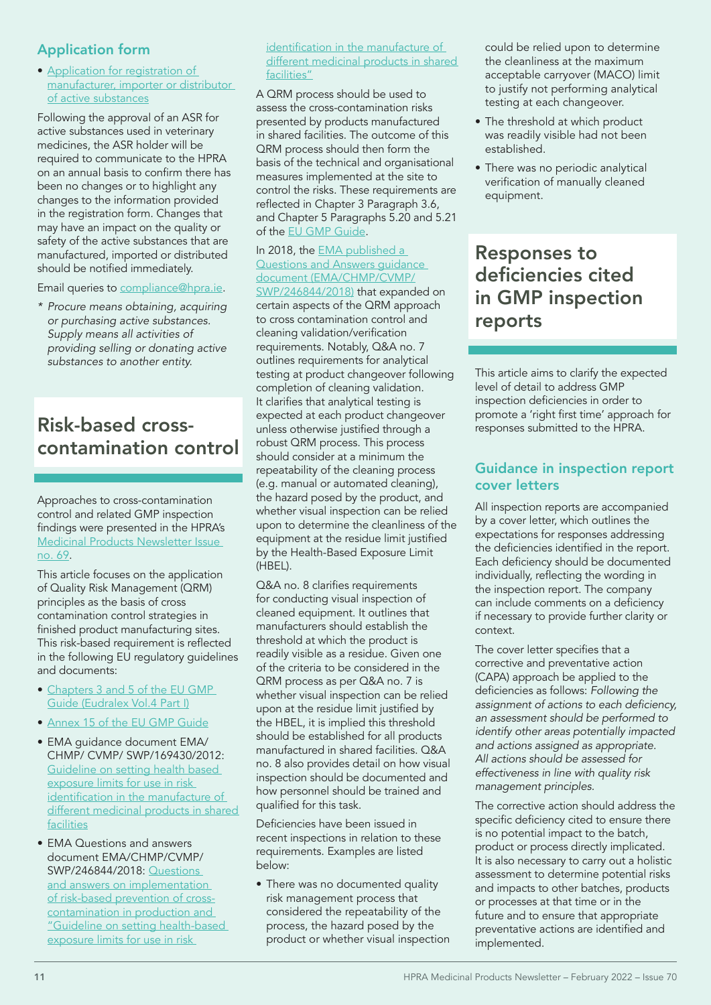## Application form

• [Application for registration of](http://www.hpra.ie/homepage/about-us/publications-forms/forms-applications/item?id=fa57f925-9782-6eee-9b55-ff00008c97d0&t=/docs/default-source/publications-forms/forms-applications/aut-f0355-application-for-registration-of-manufacturer-importer-or-distributor-of-active-substances-v4)  [manufacturer, importer or distributor](http://www.hpra.ie/homepage/about-us/publications-forms/forms-applications/item?id=fa57f925-9782-6eee-9b55-ff00008c97d0&t=/docs/default-source/publications-forms/forms-applications/aut-f0355-application-for-registration-of-manufacturer-importer-or-distributor-of-active-substances-v4)  [of active substances](http://www.hpra.ie/homepage/about-us/publications-forms/forms-applications/item?id=fa57f925-9782-6eee-9b55-ff00008c97d0&t=/docs/default-source/publications-forms/forms-applications/aut-f0355-application-for-registration-of-manufacturer-importer-or-distributor-of-active-substances-v4)

Following the approval of an ASR for active substances used in veterinary medicines, the ASR holder will be required to communicate to the HPRA on an annual basis to confirm there has been no changes or to highlight any changes to the information provided in the registration form. Changes that may have an impact on the quality or safety of the active substances that are manufactured, imported or distributed should be notified immediately.

Email queries to [compliance@hpra.ie](mailto:compliance%40hpra.ie?subject=).

*\* Procure means obtaining, acquiring or purchasing active substances. Supply means all activities of providing selling or donating active substances to another entity.* 

## Risk-based crosscontamination control

Approaches to cross-contamination control and related GMP inspection findings were presented in the HPRA's [Medicinal Products Newsletter Issue](https://www.hpra.ie/docs/default-source/publications-forms/newsletters/hpra-medicinal-products-newsletter---issue-number-69---may-to-august-2021.pdf?sfvrsn=15)  [no. 69.](https://www.hpra.ie/docs/default-source/publications-forms/newsletters/hpra-medicinal-products-newsletter---issue-number-69---may-to-august-2021.pdf?sfvrsn=15)

This article focuses on the application of Quality Risk Management (QRM) principles as the basis of cross contamination control strategies in finished product manufacturing sites. This risk-based requirement is reflected in the following EU regulatory guidelines and documents:

- [Chapters 3 and 5 of the EU GMP](https://ec.europa.eu/health/medicinal-products/eudralex/eudralex-volume-4_en)  [Guide \(Eudralex Vol.4 Part I\)](https://ec.europa.eu/health/medicinal-products/eudralex/eudralex-volume-4_en)
- [Annex 15 of the EU GMP Guide](https://ec.europa.eu/health/system/files/2016-11/2015-10_annex15_0.pdf)
- EMA guidance document EMA/ CHMP/ CVMP/ SWP/169430/2012: [Guideline on setting health based](https://www.ema.europa.eu/en/documents/scientific-guideline/guideline-setting-health-based-exposure-limits-use-risk-identification-manufacture-different_en.pdf)  [exposure limits for use in risk](https://www.ema.europa.eu/en/documents/scientific-guideline/guideline-setting-health-based-exposure-limits-use-risk-identification-manufacture-different_en.pdf)  [identification](https://www.ema.europa.eu/en/documents/scientific-guideline/guideline-setting-health-based-exposure-limits-use-risk-identification-manufacture-different_en.pdf) in the manufacture of [different medicinal products in shared](https://www.ema.europa.eu/en/documents/scientific-guideline/guideline-setting-health-based-exposure-limits-use-risk-identification-manufacture-different_en.pdf)  [facilities](https://www.ema.europa.eu/en/documents/scientific-guideline/guideline-setting-health-based-exposure-limits-use-risk-identification-manufacture-different_en.pdf)
- EMA Questions and answers document EMA/CHMP/CVMP/ SWP/246844/2018: [Questions](https://www.ema.europa.eu/en/documents/other/questions-answers-implementation-risk-based-prevention-cross-contamination-production-guideline_en.pdf)  [and answers on implementation](https://www.ema.europa.eu/en/documents/other/questions-answers-implementation-risk-based-prevention-cross-contamination-production-guideline_en.pdf)  [of risk-based prevention of cross](https://www.ema.europa.eu/en/documents/other/questions-answers-implementation-risk-based-prevention-cross-contamination-production-guideline_en.pdf)[contamination in production and](https://www.ema.europa.eu/en/documents/other/questions-answers-implementation-risk-based-prevention-cross-contamination-production-guideline_en.pdf)  ["Guideline on setting health-based](https://www.ema.europa.eu/en/documents/other/questions-answers-implementation-risk-based-prevention-cross-contamination-production-guideline_en.pdf)  [exposure limits for use in risk](https://www.ema.europa.eu/en/documents/other/questions-answers-implementation-risk-based-prevention-cross-contamination-production-guideline_en.pdf)

[identification](https://www.ema.europa.eu/en/documents/other/questions-answers-implementation-risk-based-prevention-cross-contamination-production-guideline_en.pdf) in the manufacture of different medicinal products in shared [facilities"](https://www.ema.europa.eu/en/documents/other/questions-answers-implementation-risk-based-prevention-cross-contamination-production-guideline_en.pdf)

A QRM process should be used to assess the cross-contamination risks presented by products manufactured in shared facilities. The outcome of this QRM process should then form the basis of the technical and organisational measures implemented at the site to control the risks. These requirements are reflected in Chapter 3 Paragraph 3.6, and Chapter 5 Paragraphs 5.20 and 5.21 of the [EU GMP Guide](https://ec.europa.eu/health/medicinal-products/eudralex/eudralex-volume-4_en).

#### In 2018, the EMA published a [Questions and Answers guidance](https://www.ema.europa.eu/en/documents/other/questions-answers-implementation-risk-based-prevention-cross-contamination-production-guideline_en.pdf)  [document](https://www.ema.europa.eu/en/documents/other/questions-answers-implementation-risk-based-prevention-cross-contamination-production-guideline_en.pdf) (EMA/CHMP/CVMP/

SWP/246844/2018) that expanded on certain aspects of the QRM approach to cross contamination control and cleaning validation/verification requirements. Notably, Q&A no. 7 outlines requirements for analytical testing at product changeover following completion of cleaning validation. It clarifies that analytical testing is expected at each product changeover unless otherwise justified through a robust QRM process. This process should consider at a minimum the repeatability of the cleaning process (e.g. manual or automated cleaning), the hazard posed by the product, and whether visual inspection can be relied upon to determine the cleanliness of the equipment at the residue limit justified by the Health-Based Exposure Limit (HBEL).

Q&A no. 8 clarifies requirements for conducting visual inspection of cleaned equipment. It outlines that manufacturers should establish the threshold at which the product is readily visible as a residue. Given one of the criteria to be considered in the QRM process as per Q&A no. 7 is whether visual inspection can be relied upon at the residue limit justified by the HBEL, it is implied this threshold should be established for all products manufactured in shared facilities. Q&A no. 8 also provides detail on how visual inspection should be documented and how personnel should be trained and qualified for this task.

Deficiencies have been issued in recent inspections in relation to these requirements. Examples are listed below:

• There was no documented quality risk management process that considered the repeatability of the process, the hazard posed by the product or whether visual inspection

could be relied upon to determine the cleanliness at the maximum acceptable carryover (MACO) limit to justify not performing analytical testing at each changeover.

- The threshold at which product was readily visible had not been established.
- There was no periodic analytical verification of manually cleaned equipment.

## Responses to deficiencies cited in GMP inspection reports

This article aims to clarify the expected level of detail to address GMP inspection deficiencies in order to promote a 'right first time' approach for responses submitted to the HPRA.

## Guidance in inspection report cover letters

All inspection reports are accompanied by a cover letter, which outlines the expectations for responses addressing the deficiencies identified in the report. Each deficiency should be documented individually, reflecting the wording in the inspection report. The company can include comments on a deficiency if necessary to provide further clarity or context.

The cover letter specifies that a corrective and preventative action (CAPA) approach be applied to the deficiencies as follows: *Following the*  assignment of actions to each deficiency, *an assessment should be performed to identify other areas potentially impacted and actions assigned as appropriate. All actions should be assessed for effectiveness in line with quality risk management principles.* 

The corrective action should address the specific deficiency cited to ensure there is no potential impact to the batch, product or process directly implicated. It is also necessary to carry out a holistic assessment to determine potential risks and impacts to other batches, products or processes at that time or in the future and to ensure that appropriate preventative actions are identified and implemented.